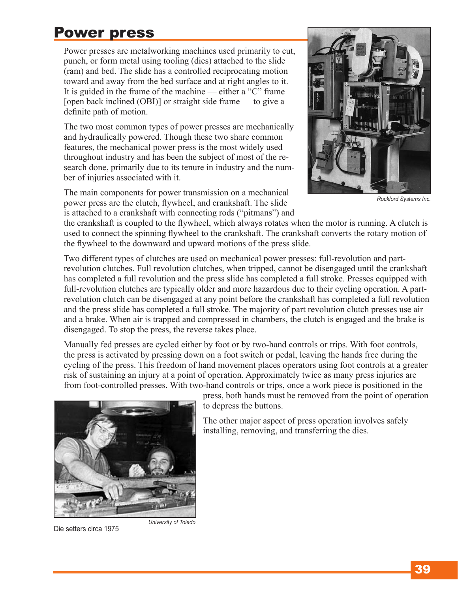## Power press

Power presses are metalworking machines used primarily to cut, punch, or form metal using tooling (dies) attached to the slide (ram) and bed. The slide has a controlled reciprocating motion toward and away from the bed surface and at right angles to it. It is guided in the frame of the machine — either a "C" frame [open back inclined (OBI)] or straight side frame — to give a definite path of motion.

The two most common types of power presses are mechanically and hydraulically powered. Though these two share common features, the mechanical power press is the most widely used throughout industry and has been the subject of most of the research done, primarily due to its tenure in industry and the number of injuries associated with it.

The main components for power transmission on a mechanical power press are the clutch, flywheel, and crankshaft. The slide is attached to a crankshaft with connecting rods ("pitmans") and



*Rockford Systems Inc.*

the crankshaft is coupled to the flywheel, which always rotates when the motor is running. A clutch is used to connect the spinning flywheel to the crankshaft. The crankshaft converts the rotary motion of the flywheel to the downward and upward motions of the press slide.

Two different types of clutches are used on mechanical power presses: full-revolution and partrevolution clutches. Full revolution clutches, when tripped, cannot be disengaged until the crankshaft has completed a full revolution and the press slide has completed a full stroke. Presses equipped with full-revolution clutches are typically older and more hazardous due to their cycling operation. A partrevolution clutch can be disengaged at any point before the crankshaft has completed a full revolution and the press slide has completed a full stroke. The majority of part revolution clutch presses use air and a brake. When air is trapped and compressed in chambers, the clutch is engaged and the brake is disengaged. To stop the press, the reverse takes place.

Manually fed presses are cycled either by foot or by two-hand controls or trips. With foot controls, the press is activated by pressing down on a foot switch or pedal, leaving the hands free during the cycling of the press. This freedom of hand movement places operators using foot controls at a greater risk of sustaining an injury at a point of operation. Approximately twice as many press injuries are from foot-controlled presses. With two-hand controls or trips, once a work piece is positioned in the

press, both hands must be removed from the point of operation to depress the buttons.

The other major aspect of press operation involves safely installing, removing, and transferring the dies.



Die setters circa 1975

*University of Toledo*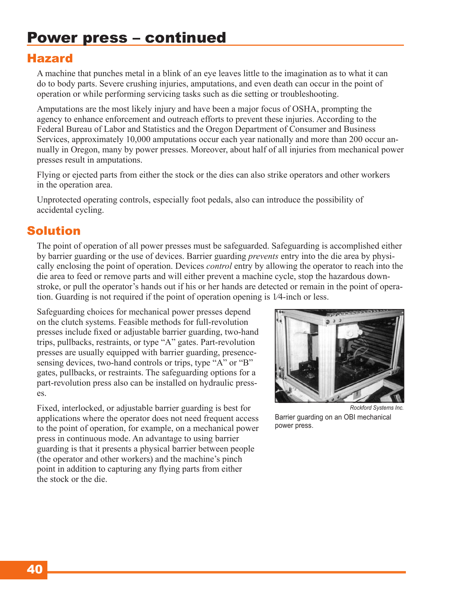### Hazard

A machine that punches metal in a blink of an eye leaves little to the imagination as to what it can do to body parts. Severe crushing injuries, amputations, and even death can occur in the point of operation or while performing servicing tasks such as die setting or troubleshooting.

Amputations are the most likely injury and have been a major focus of OSHA, prompting the agency to enhance enforcement and outreach efforts to prevent these injuries. According to the Federal Bureau of Labor and Statistics and the Oregon Department of Consumer and Business Services, approximately 10,000 amputations occur each year nationally and more than 200 occur annually in Oregon, many by power presses. Moreover, about half of all injuries from mechanical power presses result in amputations.

Flying or ejected parts from either the stock or the dies can also strike operators and other workers in the operation area.

Unprotected operating controls, especially foot pedals, also can introduce the possibility of accidental cycling.

### Solution

The point of operation of all power presses must be safeguarded. Safeguarding is accomplished either by barrier guarding or the use of devices. Barrier guarding *prevents* entry into the die area by physically enclosing the point of operation. Devices *control* entry by allowing the operator to reach into the die area to feed or remove parts and will either prevent a machine cycle, stop the hazardous downstroke, or pull the operator's hands out if his or her hands are detected or remain in the point of operation. Guarding is not required if the point of operation opening is 1⁄4-inch or less.

Safeguarding choices for mechanical power presses depend on the clutch systems. Feasible methods for full-revolution presses include fixed or adjustable barrier guarding, two-hand trips, pullbacks, restraints, or type "A" gates. Part-revolution presses are usually equipped with barrier guarding, presencesensing devices, two-hand controls or trips, type "A" or "B" gates, pullbacks, or restraints. The safeguarding options for a part-revolution press also can be installed on hydraulic presses.

Fixed, interlocked, or adjustable barrier guarding is best for applications where the operator does not need frequent access to the point of operation, for example, on a mechanical power press in continuous mode. An advantage to using barrier guarding is that it presents a physical barrier between people (the operator and other workers) and the machine's pinch point in addition to capturing any flying parts from either the stock or the die.



Barrier guarding on an OBI mechanical power press.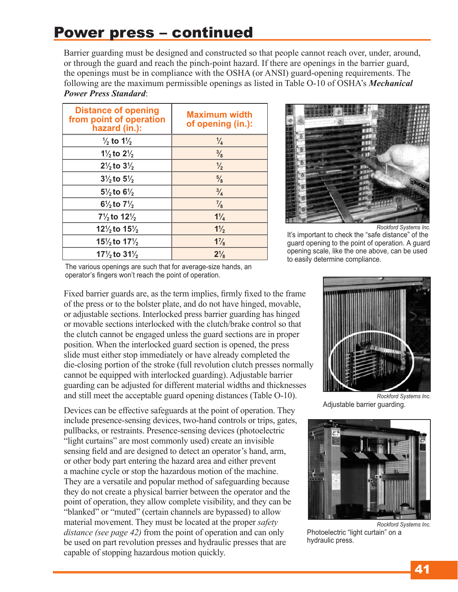# Power press – continued

Barrier guarding must be designed and constructed so that people cannot reach over, under, around, or through the guard and reach the pinch-point hazard. If there are openings in the barrier guard, the openings must be in compliance with the OSHA (or ANSI) guard-opening requirements. The following are the maximum permissible openings as listed in Table O-10 of OSHA's *Mechanical Power Press Standard*:

| <b>Distance of opening</b><br>from point of operation<br>hazard (in.): | <b>Maximum width</b><br>of opening (in.): |
|------------------------------------------------------------------------|-------------------------------------------|
| $\frac{1}{2}$ to 1 $\frac{1}{2}$                                       | $\frac{1}{4}$                             |
| $1\frac{1}{2}$ to $2\frac{1}{2}$                                       | $\frac{3}{8}$                             |
| $2\frac{1}{2}$ to $3\frac{1}{2}$                                       | $\frac{1}{2}$                             |
| $3\frac{1}{2}$ to $5\frac{1}{2}$                                       | $\frac{5}{8}$                             |
| $5\frac{1}{2}$ to 6 <sup>1</sup> / <sub>2</sub>                        | $\frac{3}{4}$                             |
| $6\frac{1}{2}$ to $7\frac{1}{2}$                                       | $\frac{7}{8}$                             |
| $7\frac{1}{2}$ to $12\frac{1}{2}$                                      | $1\frac{1}{4}$                            |
| 12 $\frac{1}{2}$ to 15 $\frac{1}{2}$                                   | $1\frac{1}{2}$                            |
| 15 $\frac{1}{2}$ to 17 $\frac{1}{2}$                                   | $1\frac{7}{8}$                            |
| $17\frac{1}{2}$ to $31\frac{1}{2}$                                     | $2\frac{1}{8}$                            |



It's important to check the "safe distance" of the guard opening to the point of operation. A guard opening scale, like the one above, can be used to easily determine compliance.

The various openings are such that for average-size hands, an operator's fingers won't reach the point of operation.

Fixed barrier guards are, as the term implies, firmly fixed to the frame of the press or to the bolster plate, and do not have hinged, movable, or adjustable sections. Interlocked press barrier guarding has hinged or movable sections interlocked with the clutch/brake control so that the clutch cannot be engaged unless the guard sections are in proper position. When the interlocked guard section is opened, the press slide must either stop immediately or have already completed the die-closing portion of the stroke (full revolution clutch presses normally cannot be equipped with interlocked guarding). Adjustable barrier guarding can be adjusted for different material widths and thicknesses and still meet the acceptable guard opening distances (Table O-10).

Devices can be effective safeguards at the point of operation. They include presence-sensing devices, two-hand controls or trips, gates, pullbacks, or restraints. Presence-sensing devices (photoelectric "light curtains" are most commonly used) create an invisible sensing field and are designed to detect an operator's hand, arm, or other body part entering the hazard area and either prevent a machine cycle or stop the hazardous motion of the machine. They are a versatile and popular method of safeguarding because they do not create a physical barrier between the operator and the point of operation, they allow complete visibility, and they can be "blanked" or "muted" (certain channels are bypassed) to allow material movement. They must be located at the proper *safety distance (see page 42)* from the point of operation and can only be used on part revolution presses and hydraulic presses that are capable of stopping hazardous motion quickly.



Adjustable barrier guarding.



*Rockford Systems Inc.* Photoelectric "light curtain" on a hydraulic press.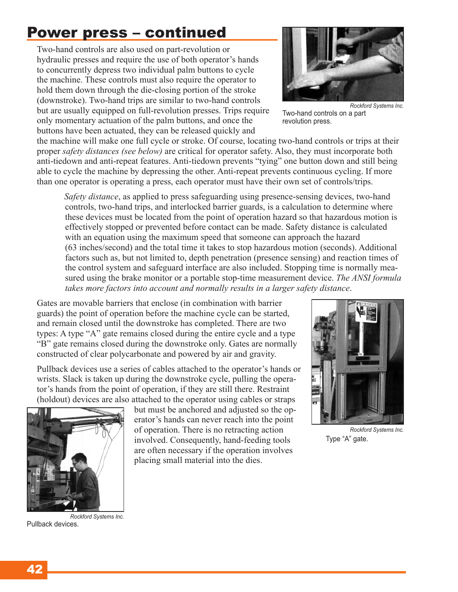# Power press – continued

Two-hand controls are also used on part-revolution or hydraulic presses and require the use of both operator's hands to concurrently depress two individual palm buttons to cycle the machine. These controls must also require the operator to hold them down through the die-closing portion of the stroke (downstroke). Two-hand trips are similar to two-hand controls but are usually equipped on full-revolution presses. Trips require only momentary actuation of the palm buttons, and once the buttons have been actuated, they can be released quickly and

the machine will make one full cycle or stroke. Of course, locating two-hand controls or trips at their proper *safety distances (see below)* are critical for operator safety. Also, they must incorporate both anti-tiedown and anti-repeat features. Anti-tiedown prevents "tying" one button down and still being able to cycle the machine by depressing the other. Anti-repeat prevents continuous cycling. If more than one operator is operating a press, each operator must have their own set of controls/trips.

*Safety distance*, as applied to press safeguarding using presence-sensing devices, two-hand controls, two-hand trips, and interlocked barrier guards, is a calculation to determine where these devices must be located from the point of operation hazard so that hazardous motion is effectively stopped or prevented before contact can be made. Safety distance is calculated with an equation using the maximum speed that someone can approach the hazard (63 inches/second) and the total time it takes to stop hazardous motion (seconds). Additional factors such as, but not limited to, depth penetration (presence sensing) and reaction times of the control system and safeguard interface are also included. Stopping time is normally measured using the brake monitor or a portable stop-time measurement device. *The ANSI formula takes more factors into account and normally results in a larger safety distance*.

Gates are movable barriers that enclose (in combination with barrier guards) the point of operation before the machine cycle can be started, and remain closed until the downstroke has completed. There are two types: A type "A" gate remains closed during the entire cycle and a type "B" gate remains closed during the downstroke only. Gates are normally constructed of clear polycarbonate and powered by air and gravity.

Pullback devices use a series of cables attached to the operator's hands or wrists. Slack is taken up during the downstroke cycle, pulling the operator's hands from the point of operation, if they are still there. Restraint (holdout) devices are also attached to the operator using cables or straps



*Rockford Systems Inc.* Pullback devices.

but must be anchored and adjusted so the operator's hands can never reach into the point of operation. There is no retracting action involved. Consequently, hand-feeding tools are often necessary if the operation involves placing small material into the dies.



*Rockford Systems Inc.* Two-hand controls on a part revolution press.



*Rockford Systems Inc.* Type "A" gate.